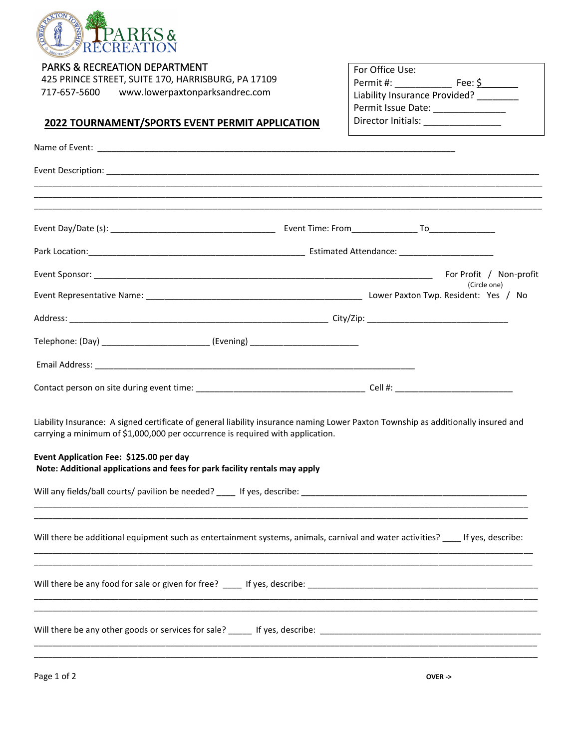

| <b>PARKS &amp; RECREATION DEPARTMENT</b> |  |
|------------------------------------------|--|
|------------------------------------------|--|

425 PRINCE STREET, SUITE 170, HARRISBURG, PA 17109 717-657-5600 www.lowerpaxtonparksandrec.com

| For Office Use:               |         |  |  |
|-------------------------------|---------|--|--|
| Permit #:                     | Fee: \$ |  |  |
| Liability Insurance Provided? |         |  |  |
| Permit Issue Date:            |         |  |  |
| Director Initials:            |         |  |  |

## **2022 TOURNAMENT/SPORTS EVENT PERMIT APPLICATION**

|                                                                                                                                                                                                                                                                                                                                              |  | For Profit / Non-profit |
|----------------------------------------------------------------------------------------------------------------------------------------------------------------------------------------------------------------------------------------------------------------------------------------------------------------------------------------------|--|-------------------------|
|                                                                                                                                                                                                                                                                                                                                              |  | (Circle one)            |
|                                                                                                                                                                                                                                                                                                                                              |  |                         |
| Telephone: (Day) ______________________________ (Evening) ______________________                                                                                                                                                                                                                                                             |  |                         |
|                                                                                                                                                                                                                                                                                                                                              |  |                         |
|                                                                                                                                                                                                                                                                                                                                              |  |                         |
| Liability Insurance: A signed certificate of general liability insurance naming Lower Paxton Township as additionally insured and<br>carrying a minimum of \$1,000,000 per occurrence is required with application.<br>Event Application Fee: \$125.00 per day<br>Note: Additional applications and fees for park facility rentals may apply |  |                         |
|                                                                                                                                                                                                                                                                                                                                              |  |                         |
| Will there be additional equipment such as entertainment systems, animals, carnival and water activities? ____ If yes, describe:                                                                                                                                                                                                             |  |                         |
|                                                                                                                                                                                                                                                                                                                                              |  |                         |
| <u> 1980 - Johann John Stone, markin film ar yn y brenin y brenin y brenin y brenin y brenin y brenin y brenin y</u>                                                                                                                                                                                                                         |  |                         |